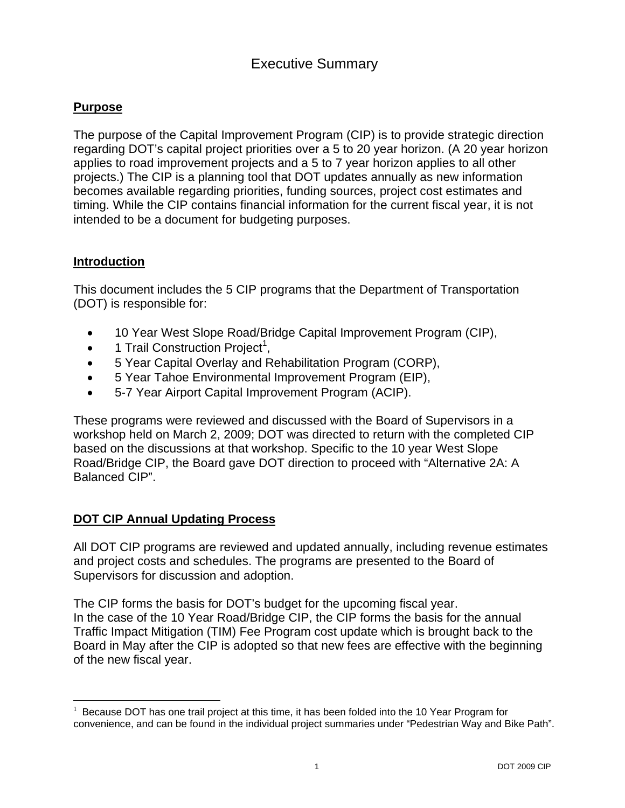### **Purpose**

The purpose of the Capital Improvement Program (CIP) is to provide strategic direction regarding DOT's capital project priorities over a 5 to 20 year horizon. (A 20 year horizon applies to road improvement projects and a 5 to 7 year horizon applies to all other projects.) The CIP is a planning tool that DOT updates annually as new information becomes available regarding priorities, funding sources, project cost estimates and timing. While the CIP contains financial information for the current fiscal year, it is not intended to be a document for budgeting purposes.

#### **Introduction**

This document includes the 5 CIP programs that the Department of Transportation (DOT) is responsible for:

- 10 Year West Slope Road/Bridge Capital Improvement Program (CIP),
- 1 Trail Construction Project<sup>1</sup>,
- 5 Year Capital Overlay and Rehabilitation Program (CORP),
- 5 Year Tahoe Environmental Improvement Program (EIP),
- 5-7 Year Airport Capital Improvement Program (ACIP).

These programs were reviewed and discussed with the Board of Supervisors in a workshop held on March 2, 2009; DOT was directed to return with the completed CIP based on the discussions at that workshop. Specific to the 10 year West Slope Road/Bridge CIP, the Board gave DOT direction to proceed with "Alternative 2A: A Balanced CIP".

### **DOT CIP Annual Updating Process**

All DOT CIP programs are reviewed and updated annually, including revenue estimates and project costs and schedules. The programs are presented to the Board of Supervisors for discussion and adoption.

The CIP forms the basis for DOT's budget for the upcoming fiscal year. In the case of the 10 Year Road/Bridge CIP, the CIP forms the basis for the annual Traffic Impact Mitigation (TIM) Fee Program cost update which is brought back to the Board in May after the CIP is adopted so that new fees are effective with the beginning of the new fiscal year.

<sup>1</sup> Because DOT has one trail project at this time, it has been folded into the 10 Year Program for convenience, and can be found in the individual project summaries under "Pedestrian Way and Bike Path".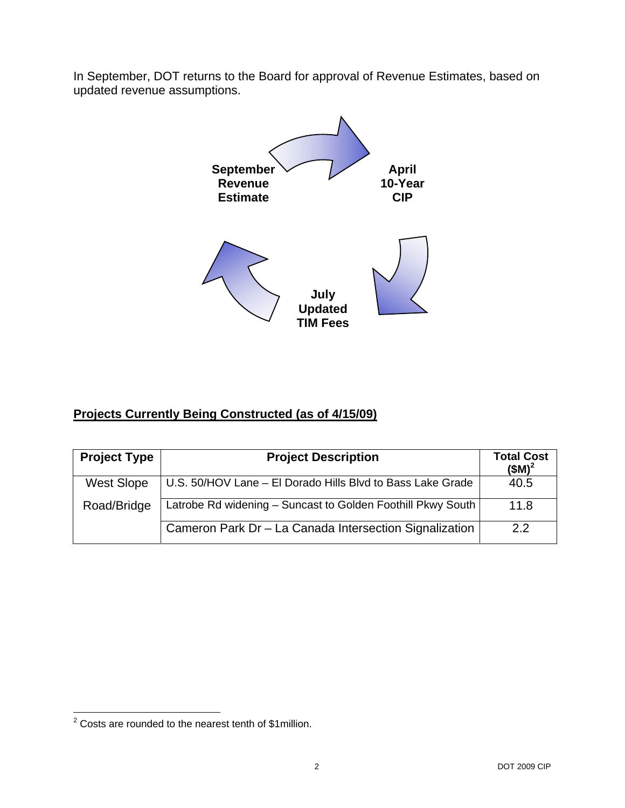In September, DOT returns to the Board for approval of Revenue Estimates, based on updated revenue assumptions.



### **Projects Currently Being Constructed (as of 4/15/09)**

| <b>Project Type</b> | <b>Project Description</b>                                  | <b>Total Cost</b><br>$(SM)^2$ |
|---------------------|-------------------------------------------------------------|-------------------------------|
| <b>West Slope</b>   | U.S. 50/HOV Lane - El Dorado Hills Blvd to Bass Lake Grade  | 40.5                          |
| Road/Bridge         | Latrobe Rd widening - Suncast to Golden Foothill Pkwy South | 11.8                          |
|                     | Cameron Park Dr - La Canada Intersection Signalization      | 22                            |

<sup>&</sup>lt;u>2</u><br><sup>2</sup> Costs are rounded to the nearest tenth of \$1million.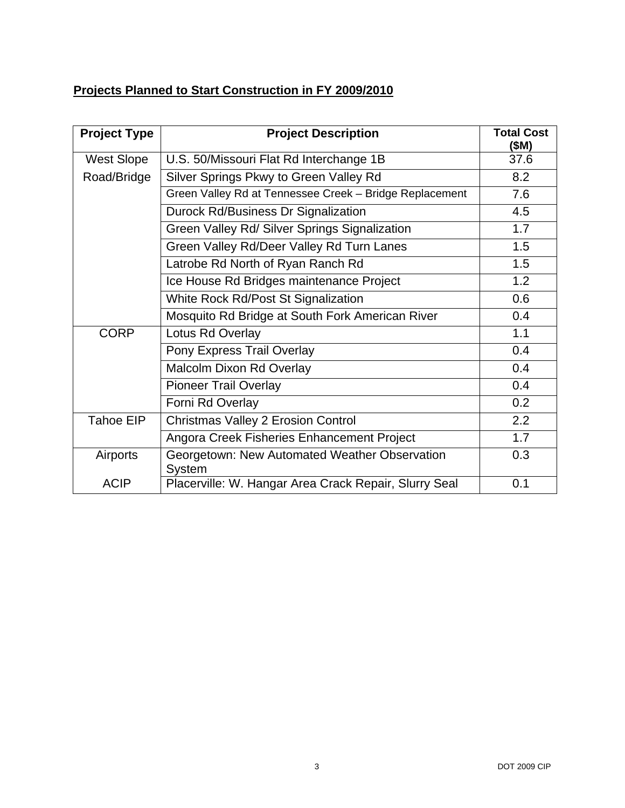# **Projects Planned to Start Construction in FY 2009/2010**

| <b>Project Type</b> | <b>Project Description</b>                                     | <b>Total Cost</b><br>(\$M) |
|---------------------|----------------------------------------------------------------|----------------------------|
| <b>West Slope</b>   | U.S. 50/Missouri Flat Rd Interchange 1B                        | 37.6                       |
| Road/Bridge         | Silver Springs Pkwy to Green Valley Rd                         | 8.2                        |
|                     | Green Valley Rd at Tennessee Creek - Bridge Replacement        | 7.6                        |
|                     | Durock Rd/Business Dr Signalization                            | 4.5                        |
|                     | Green Valley Rd/ Silver Springs Signalization                  | 1.7                        |
|                     | Green Valley Rd/Deer Valley Rd Turn Lanes                      | 1.5                        |
|                     | Latrobe Rd North of Ryan Ranch Rd                              | 1.5                        |
|                     | Ice House Rd Bridges maintenance Project                       | 1.2                        |
|                     | White Rock Rd/Post St Signalization                            | 0.6                        |
|                     | Mosquito Rd Bridge at South Fork American River                | 0.4                        |
| <b>CORP</b>         | Lotus Rd Overlay                                               | 1.1                        |
|                     | Pony Express Trail Overlay                                     | 0.4                        |
|                     | Malcolm Dixon Rd Overlay                                       | 0.4                        |
|                     | <b>Pioneer Trail Overlay</b>                                   | 0.4                        |
|                     | Forni Rd Overlay                                               | 0.2                        |
| <b>Tahoe EIP</b>    | <b>Christmas Valley 2 Erosion Control</b>                      | 2.2                        |
|                     | Angora Creek Fisheries Enhancement Project                     | 1.7                        |
| Airports            | Georgetown: New Automated Weather Observation<br><b>System</b> | 0.3                        |
| <b>ACIP</b>         | Placerville: W. Hangar Area Crack Repair, Slurry Seal          | 0.1                        |